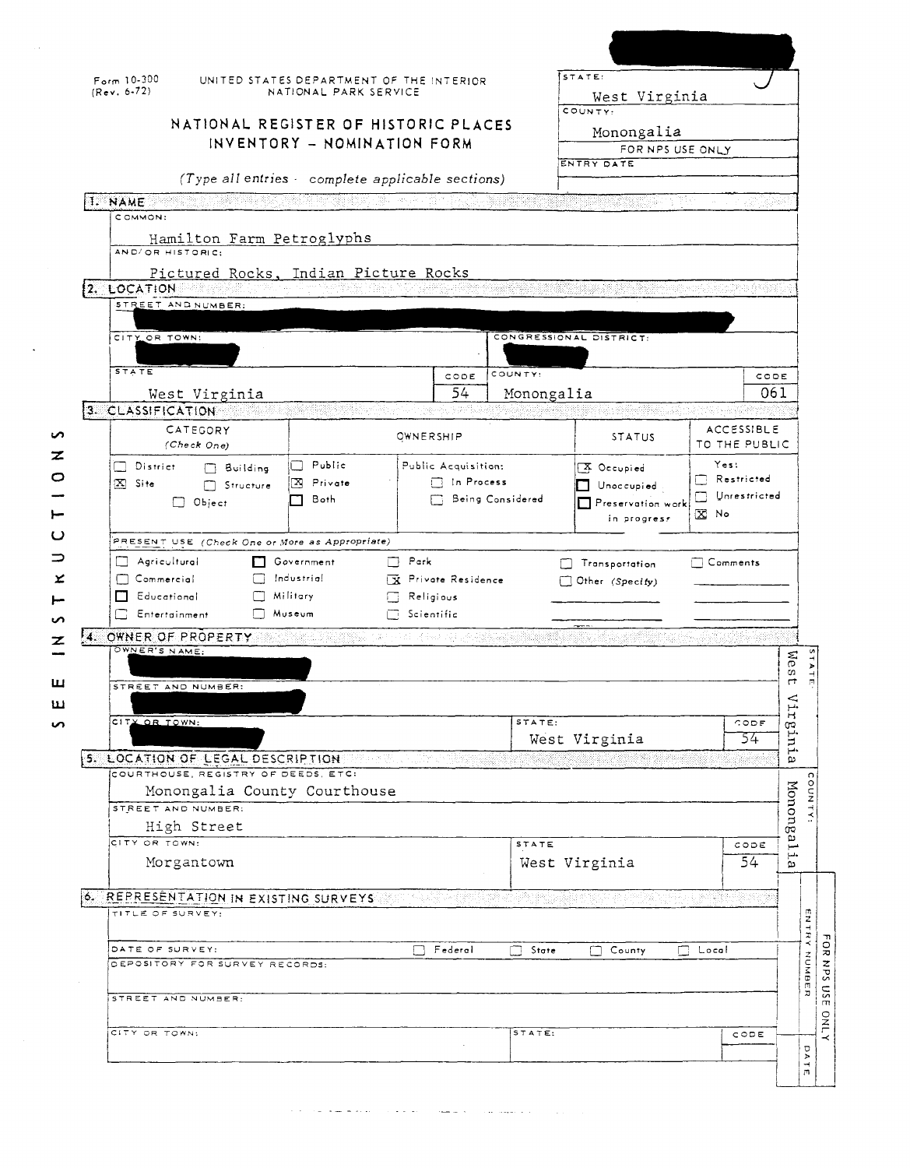|          | $Form 10-300$<br>$(Rev. 6-72)$                                                                                                                                                                                                                                        | UNITED STATES DEPARTMENT OF THE INTERIOR<br>NATIONAL PARK SERVICE |                     |                  | STATE:<br>West Virginia                       |                             |                                                                                           |  |  |
|----------|-----------------------------------------------------------------------------------------------------------------------------------------------------------------------------------------------------------------------------------------------------------------------|-------------------------------------------------------------------|---------------------|------------------|-----------------------------------------------|-----------------------------|-------------------------------------------------------------------------------------------|--|--|
|          |                                                                                                                                                                                                                                                                       |                                                                   |                     |                  | COUNTY:                                       |                             |                                                                                           |  |  |
|          |                                                                                                                                                                                                                                                                       | NATIONAL REGISTER OF HISTORIC PLACES                              |                     |                  | Monongalia<br>FOR NPS USE ONLY                |                             |                                                                                           |  |  |
|          | INVENTORY - NOMINATION FORM                                                                                                                                                                                                                                           |                                                                   |                     |                  |                                               |                             |                                                                                           |  |  |
|          |                                                                                                                                                                                                                                                                       |                                                                   |                     |                  |                                               | ENTRY DATE                  |                                                                                           |  |  |
|          | (Type all entries - complete applicable sections)                                                                                                                                                                                                                     |                                                                   |                     |                  |                                               |                             |                                                                                           |  |  |
|          | I. NAME<br>COMMON:                                                                                                                                                                                                                                                    |                                                                   |                     |                  |                                               |                             |                                                                                           |  |  |
|          | Hamilton Farm Petroglyphs<br>AND/OR HISTORIC:                                                                                                                                                                                                                         |                                                                   |                     |                  |                                               |                             |                                                                                           |  |  |
|          | Pictured Rocks, Indian Picture Rocks                                                                                                                                                                                                                                  |                                                                   |                     |                  |                                               |                             |                                                                                           |  |  |
|          | <b>2. LOCATION</b>                                                                                                                                                                                                                                                    |                                                                   |                     |                  |                                               |                             |                                                                                           |  |  |
|          | STREET AND NUMBER:                                                                                                                                                                                                                                                    |                                                                   |                     |                  |                                               |                             |                                                                                           |  |  |
|          | CITY OR TOWN:                                                                                                                                                                                                                                                         |                                                                   |                     |                  | CONGRESSIONAL DISTRICT:                       |                             |                                                                                           |  |  |
|          |                                                                                                                                                                                                                                                                       |                                                                   |                     |                  |                                               |                             |                                                                                           |  |  |
|          | <b>STATE</b>                                                                                                                                                                                                                                                          |                                                                   | CODE                | COUNTY:          |                                               |                             | CODE                                                                                      |  |  |
|          | West Virginia                                                                                                                                                                                                                                                         |                                                                   | 54                  | Monongalia       |                                               |                             | 061                                                                                       |  |  |
|          | 3. CLASSIFICATION                                                                                                                                                                                                                                                     |                                                                   |                     |                  |                                               |                             |                                                                                           |  |  |
|          | CATEGORY<br>(Check One)                                                                                                                                                                                                                                               |                                                                   | OWNERSHIP           |                  | <b>STATUS</b>                                 | ACCESSIBLE<br>TO THE PUBLIC |                                                                                           |  |  |
|          | $\Box$ District<br>$\Box$ Building                                                                                                                                                                                                                                    | $\Box$ Public                                                     | Public Acquisition: |                  | <b>X</b> Occupied                             | Yes:                        |                                                                                           |  |  |
|          | $[X]$ Site<br>Structure                                                                                                                                                                                                                                               | ⊠<br>Private                                                      | $\Box$ In Process   |                  | Unoccupied                                    | Restricted                  |                                                                                           |  |  |
|          | $\Box$ Object                                                                                                                                                                                                                                                         | Both<br>П                                                         |                     | Being Considered | $\sqcap$ Preservation work                    | Unrestricted                |                                                                                           |  |  |
|          |                                                                                                                                                                                                                                                                       |                                                                   |                     |                  | in progress                                   | X No                        |                                                                                           |  |  |
|          | PRESENT USE (Check One or More as Appropriate)                                                                                                                                                                                                                        |                                                                   |                     |                  |                                               |                             |                                                                                           |  |  |
|          |                                                                                                                                                                                                                                                                       |                                                                   |                     |                  |                                               |                             |                                                                                           |  |  |
|          | Agricultural<br>LТ                                                                                                                                                                                                                                                    | Government                                                        | $\Box$ Park         |                  | <b>Transportation</b>                         | $\Box$ Comments             |                                                                                           |  |  |
| ⊻        | $\Box$ Commercial                                                                                                                                                                                                                                                     | Industrial                                                        | X Private Residence |                  | $\Box$ Other (Specify)                        |                             |                                                                                           |  |  |
|          | <b>B</b> Educational                                                                                                                                                                                                                                                  | Military.<br>Museum                                               | $\Box$ Religious    |                  |                                               |                             |                                                                                           |  |  |
|          | <b>Entertainment</b>                                                                                                                                                                                                                                                  |                                                                   | $\Box$ Scientific   |                  |                                               |                             |                                                                                           |  |  |
| F4.<br>z | OWNER OF PROPERTY WAS MADE WITH A REPORT OF THE REAL<br>OWNER'S NAME:                                                                                                                                                                                                 |                                                                   |                     |                  |                                               |                             |                                                                                           |  |  |
|          |                                                                                                                                                                                                                                                                       |                                                                   |                     |                  |                                               |                             |                                                                                           |  |  |
| ш        | STREET AND NUMBER:                                                                                                                                                                                                                                                    |                                                                   |                     |                  |                                               |                             |                                                                                           |  |  |
| ш        |                                                                                                                                                                                                                                                                       |                                                                   |                     |                  |                                               |                             |                                                                                           |  |  |
| S        | CITY OR TOWN:                                                                                                                                                                                                                                                         |                                                                   |                     | STATE:           |                                               | CODE<br>54                  |                                                                                           |  |  |
|          |                                                                                                                                                                                                                                                                       |                                                                   |                     |                  | West Virginia<br>i ti tanya                   | 221                         |                                                                                           |  |  |
|          | 5. LOCATION OF LEGAL DESCRIPTION CONTROL CONTROL CONTROL CONTROL CONTROL CONTROL CONTROL CONTROL CONTROL CONTROL CONTROL CONTROL CONTROL CONTROL CONTROL CONTROL CONTROL CONTROL CONTROL CONTROL CONTROL CONTROL CONTROL CONTR<br>COURTHOUSE, REGISTRY OF DEEDS, ETC. |                                                                   |                     |                  |                                               |                             |                                                                                           |  |  |
|          | Monongalia County Courthouse                                                                                                                                                                                                                                          |                                                                   |                     |                  |                                               |                             |                                                                                           |  |  |
|          | STREET AND NUMBER:                                                                                                                                                                                                                                                    |                                                                   |                     |                  |                                               |                             |                                                                                           |  |  |
|          | High Street<br>CITY OR TOWN:                                                                                                                                                                                                                                          |                                                                   |                     | STATE            |                                               |                             |                                                                                           |  |  |
|          | Morgantown                                                                                                                                                                                                                                                            |                                                                   |                     |                  | West Virginia                                 | C O D E<br>54               |                                                                                           |  |  |
|          |                                                                                                                                                                                                                                                                       |                                                                   |                     |                  |                                               |                             |                                                                                           |  |  |
|          | 6. REPRESENTATION IN EXISTING SURVEYS                                                                                                                                                                                                                                 |                                                                   |                     |                  | 12022 - 대한민국의 대통령 프랑카 지역 사항 및 12022 - 대한민국 대학 |                             |                                                                                           |  |  |
|          | TITLE OF SURVEY:                                                                                                                                                                                                                                                      |                                                                   |                     |                  |                                               |                             |                                                                                           |  |  |
|          | DATE OF SURVEY:                                                                                                                                                                                                                                                       |                                                                   |                     |                  |                                               |                             |                                                                                           |  |  |
|          | DEPOSITORY FOR SURVEY RECORDS:                                                                                                                                                                                                                                        |                                                                   | Federal             | State            | County<br>m.                                  | Π.<br>Local                 |                                                                                           |  |  |
|          |                                                                                                                                                                                                                                                                       |                                                                   |                     |                  |                                               |                             |                                                                                           |  |  |
|          | STREET AND NUMBER:                                                                                                                                                                                                                                                    |                                                                   |                     |                  |                                               |                             |                                                                                           |  |  |
|          |                                                                                                                                                                                                                                                                       |                                                                   |                     |                  |                                               |                             |                                                                                           |  |  |
|          | CITY OR TOWN:                                                                                                                                                                                                                                                         |                                                                   |                     | STATE:           |                                               | CODE                        | Wes<br><<br>۳.<br>$\mathbf{H}$<br>tur <sub>8</sub> .<br>ω<br>Mononga<br>مسر<br>بالسل<br>ω |  |  |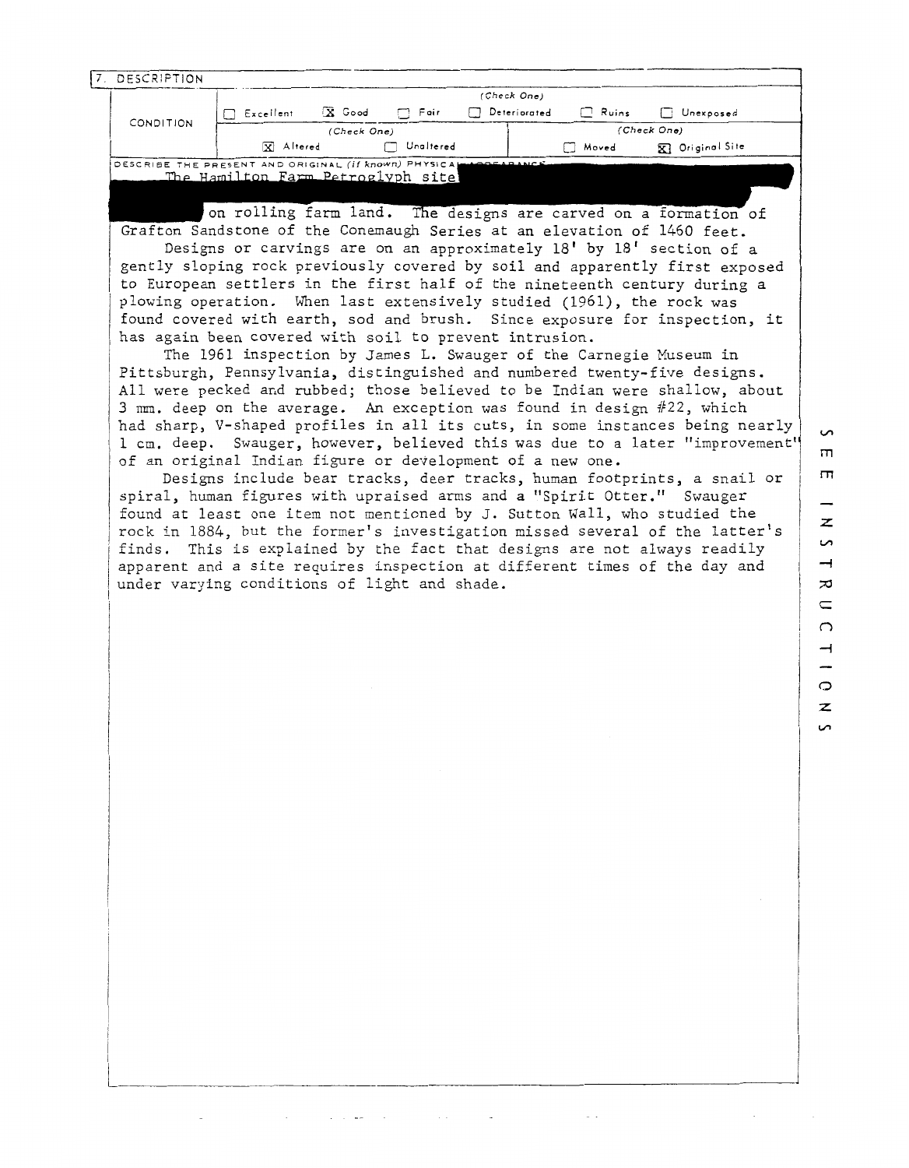| 7. DESCRIPTION |                                                                              |                             |              |                          |
|----------------|------------------------------------------------------------------------------|-----------------------------|--------------|--------------------------|
|                | $\bar{X}$ Good<br>$\Box$ Fair                                                | (Check One)<br>Deteriorated |              |                          |
| CONDITION      | Excellent<br>┌┐<br>(Check One)                                               |                             | $\Box$ Ruins | Unexposed<br>(Check One) |
|                | <b>x</b> Altered<br>Unaltered                                                |                             | Moved        | <b>XI</b> Original Site  |
|                | DESCRIBE THE PRESENT AND ORIGINAL (if known) PHYSICAL LARGEARANC             |                             |              |                          |
|                | The Hamilton Farm Petroglyph site                                            |                             |              |                          |
|                |                                                                              |                             |              |                          |
|                | on rolling farm land. The designs are carved on a formation of               |                             |              |                          |
|                | Grafton Sandstone of the Conemaugh Series at an elevation of 1460 feet.      |                             |              |                          |
|                | Designs or carvings are on an approximately 18' by 18' section of a          |                             |              |                          |
|                | gently sloping rock previously covered by soil and apparently first exposed  |                             |              |                          |
|                | to European settlers in the first half of the nineteenth century during a    |                             |              |                          |
|                |                                                                              |                             |              |                          |
|                | plowing operation. When last extensively studied (1961), the rock was        |                             |              |                          |
|                | found covered with earth, sod and brush. Since exposure for inspection, it   |                             |              |                          |
|                | has again been covered with soil to prevent intrusion.                       |                             |              |                          |
|                | The 1961 inspection by James L. Swauger of the Carnegie Museum in            |                             |              |                          |
|                | Pittsburgh, Pennsylvania, distinguished and numbered twenty-five designs.    |                             |              |                          |
|                | All were pecked and rubbed; those believed to be Indian were shallow, about  |                             |              |                          |
|                | 3 mm. deep on the average. An exception was found in design #22, which       |                             |              |                          |
|                | had sharp, V-shaped profiles in all its cuts, in some instances being nearly |                             |              |                          |
|                | 1 cm. deep. Swauger, however, believed this was due to a later "improvement" |                             |              |                          |

Designs include bear tracks, deer tracks, human footprints, a snail or spiral, hman figures with upraised arms and a "Spirit Otter." Swauger found at least one item not mentioned by J. Sutton Wall, who studied the <sup>1</sup>rock in 1884, but the former's investigation missed several of the latter's finds. This is explained by the fact that designs are not always readily apparent and a site requires inspection at different times of the day and under varying conditions of light and shade.

of an original Indian figure or development of a new one.

 $\mathcal{A}^{\mathcal{A}}$  , where  $\mathcal{A}^{\mathcal{A}}$  and  $\mathcal{A}^{\mathcal{A}}$ 

 $\sim 10^{-11}$ 

 $\sim$   $\sim$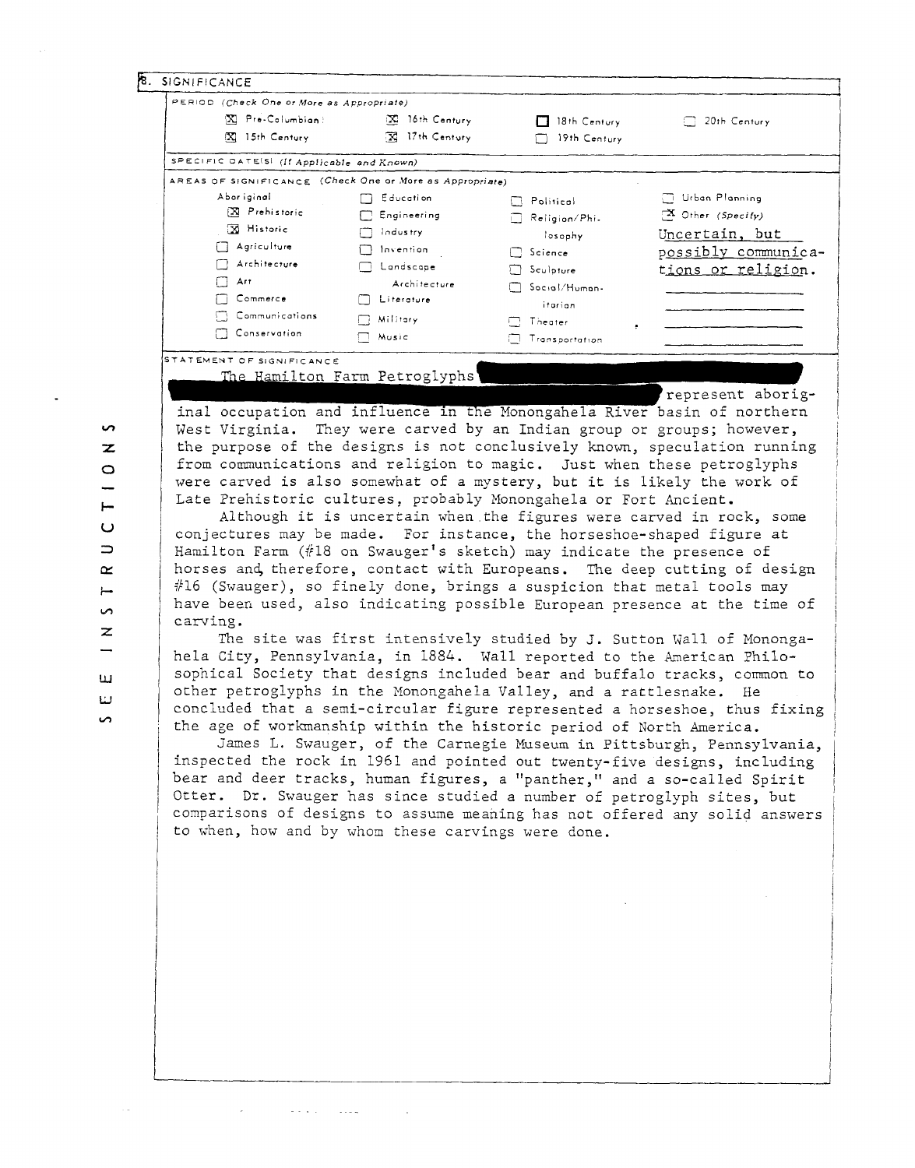| X Pre-Columbian:                                                           | PERIOD (Check One or More as Appropriate)                              |                       |                                                                                                                                               |  |  |  |
|----------------------------------------------------------------------------|------------------------------------------------------------------------|-----------------------|-----------------------------------------------------------------------------------------------------------------------------------------------|--|--|--|
|                                                                            | $\mathbb{Z}$ 16th Century                                              | 18th Century          | $\Box$ 20th Century                                                                                                                           |  |  |  |
| $\boxed{\mathbf{X}}$ 15th Century                                          | <b>X</b> 17th Century                                                  | $\Box$ 19th Century   |                                                                                                                                               |  |  |  |
| SPECIFIC DATE(S) (If Applicable and Known)                                 |                                                                        |                       |                                                                                                                                               |  |  |  |
| AREAS OF SIGNIFICANCE (Check One or More as Appropriate)                   |                                                                        |                       |                                                                                                                                               |  |  |  |
| Abor iginal                                                                | $\Box$ Education                                                       | $\Box$ Political      | □ Urban Planning                                                                                                                              |  |  |  |
| X Prehistoric                                                              | $\Box$ Engineering                                                     | $\Box$ Religion/Phi-  | $\mathbf{X}$ Other (Specify)                                                                                                                  |  |  |  |
| 因 Historic                                                                 | $\Box$ Industry                                                        | losophy               | Uncertain, but                                                                                                                                |  |  |  |
| $\Box$ Agriculture                                                         | $\Box$ Invention                                                       | $\Box$ Science        | possibly communica-                                                                                                                           |  |  |  |
| Architecture                                                               | <b>M</b> Landscape                                                     |                       |                                                                                                                                               |  |  |  |
| $\Box$ Art                                                                 | Architecture                                                           | $\Box$ Sculpture      | tions or religion.                                                                                                                            |  |  |  |
| $\Box$ Commerce                                                            | $\Box$ Literature                                                      | 50cial/Human-         |                                                                                                                                               |  |  |  |
| Communications                                                             |                                                                        | itarian               |                                                                                                                                               |  |  |  |
| Conservation                                                               | $\Box$ Military                                                        | $\Box$ Theater        |                                                                                                                                               |  |  |  |
|                                                                            | $\Box$ Music                                                           | <b>Transportation</b> |                                                                                                                                               |  |  |  |
| STATEMENT OF SIGNIFICANCE                                                  |                                                                        |                       |                                                                                                                                               |  |  |  |
|                                                                            | The Hamilton Farm Petroglyphs                                          |                       |                                                                                                                                               |  |  |  |
|                                                                            |                                                                        |                       | represent aborig-                                                                                                                             |  |  |  |
| inal occupation and influence in the Monongahela River basin of northern   |                                                                        |                       |                                                                                                                                               |  |  |  |
| West Virginia. They were carved by an Indian group or groups; however,     |                                                                        |                       |                                                                                                                                               |  |  |  |
| the purpose of the designs is not conclusively known, speculation running  |                                                                        |                       |                                                                                                                                               |  |  |  |
| from communications and religion to magic. Just when these petroglyphs     |                                                                        |                       |                                                                                                                                               |  |  |  |
| were carved is also somewhat of a mystery, but it is likely the work of    |                                                                        |                       |                                                                                                                                               |  |  |  |
| Late Prehistoric cultures, probably Monongahela or Fort Ancient.           |                                                                        |                       |                                                                                                                                               |  |  |  |
|                                                                            |                                                                        |                       | Although it is uncertain when the figures were carved in rock, some                                                                           |  |  |  |
|                                                                            |                                                                        |                       |                                                                                                                                               |  |  |  |
| conjectures may be made. For instance, the horseshoe-shaped figure at      |                                                                        |                       |                                                                                                                                               |  |  |  |
| Hamilton Farm $(\#18$ on Swauger's sketch) may indicate the presence of    |                                                                        |                       |                                                                                                                                               |  |  |  |
| horses and therefore, contact with Europeans. The deep cutting of design   |                                                                        |                       |                                                                                                                                               |  |  |  |
|                                                                            | #16 (Swauger), so finely done, brings a suspicion that metal tools may |                       |                                                                                                                                               |  |  |  |
| have been used, also indicating possible European presence at the time of  |                                                                        |                       |                                                                                                                                               |  |  |  |
|                                                                            |                                                                        |                       |                                                                                                                                               |  |  |  |
| carving.                                                                   |                                                                        |                       |                                                                                                                                               |  |  |  |
|                                                                            |                                                                        |                       |                                                                                                                                               |  |  |  |
|                                                                            |                                                                        |                       |                                                                                                                                               |  |  |  |
|                                                                            |                                                                        |                       |                                                                                                                                               |  |  |  |
| sophical Society that designs included bear and buffalo tracks, common to  |                                                                        |                       |                                                                                                                                               |  |  |  |
| other petroglyphs in the Monongahela Valley, and a rattlesnake. He         |                                                                        |                       |                                                                                                                                               |  |  |  |
| concluded that a semi-circular figure represented a horseshoe, thus fixing |                                                                        |                       |                                                                                                                                               |  |  |  |
| the age of workmanship within the historic period of North America.        |                                                                        |                       |                                                                                                                                               |  |  |  |
| hela City, Pennsylvania, in 1884. Wall reported to the American Philo-     |                                                                        |                       |                                                                                                                                               |  |  |  |
| inspected the rock in 1961 and pointed out twenty-five designs, including  |                                                                        |                       |                                                                                                                                               |  |  |  |
| bear and deer tracks, human figures, a "panther," and a so-called Spirit   |                                                                        |                       |                                                                                                                                               |  |  |  |
| Otter. Dr. Swauger has since studied a number of petroglyph sites, but     |                                                                        |                       |                                                                                                                                               |  |  |  |
| comparisons of designs to assume meaning has not offered any solid answers |                                                                        |                       |                                                                                                                                               |  |  |  |
| to when, how and by whom these carvings were done.                         |                                                                        |                       |                                                                                                                                               |  |  |  |
|                                                                            |                                                                        |                       |                                                                                                                                               |  |  |  |
|                                                                            |                                                                        |                       |                                                                                                                                               |  |  |  |
|                                                                            |                                                                        |                       |                                                                                                                                               |  |  |  |
|                                                                            |                                                                        |                       | The site was first intensively studied by J. Sutton Wall of Mononga-<br>James L. Swauger, of the Carnegie Museum in Pittsburgh, Pennsylvania, |  |  |  |
|                                                                            |                                                                        |                       |                                                                                                                                               |  |  |  |
|                                                                            |                                                                        |                       |                                                                                                                                               |  |  |  |
|                                                                            |                                                                        |                       |                                                                                                                                               |  |  |  |
|                                                                            |                                                                        |                       |                                                                                                                                               |  |  |  |
|                                                                            |                                                                        |                       |                                                                                                                                               |  |  |  |
|                                                                            |                                                                        |                       |                                                                                                                                               |  |  |  |
|                                                                            |                                                                        |                       |                                                                                                                                               |  |  |  |
|                                                                            |                                                                        |                       |                                                                                                                                               |  |  |  |
|                                                                            |                                                                        |                       |                                                                                                                                               |  |  |  |

 $\circ$  $\overline{\phantom{0}}$  $\vdash$  $\cup$  $\Rightarrow$  $\approx$  $\leftarrow$  $\bullet$  $\overline{z}$  $\overline{\phantom{0}}$  $\overline{\mathbf{u}}$  $\bar{\omega}$ 

 $\Box$ 

 $\bullet$ 

 $\mathcal{L}_{\text{max}}$  and  $\mathcal{L}_{\text{max}}$ 

الأراد المحطور المحججان المراجع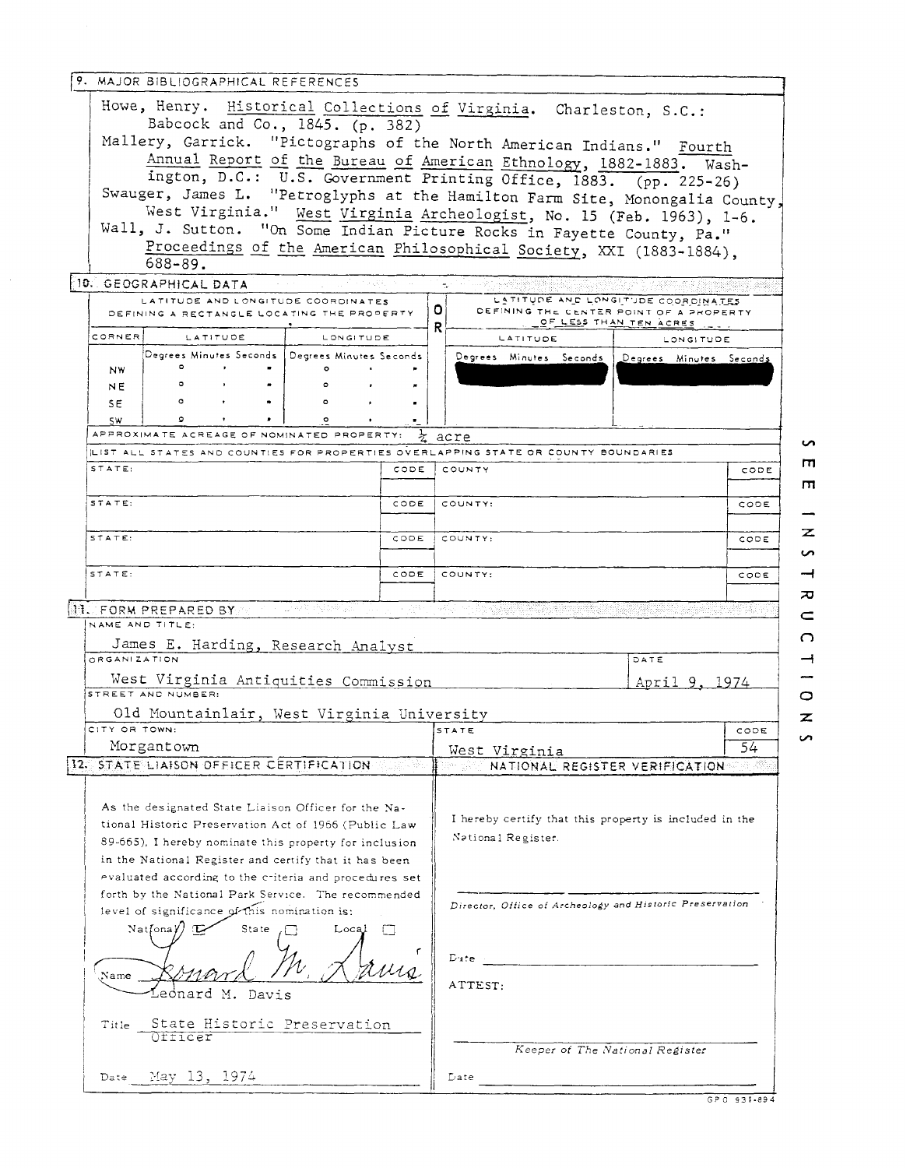| 9. MAJOR BIBLIOGRAPHICAL REFERENCES                                                                                                                                                                                            |               |                                                                                                                                             |                    |  |  |  |
|--------------------------------------------------------------------------------------------------------------------------------------------------------------------------------------------------------------------------------|---------------|---------------------------------------------------------------------------------------------------------------------------------------------|--------------------|--|--|--|
| Howe, Henry. Historical Collections of Virginia. Charleston, S.C.:<br>Babcock and Co., 1845. (p. 382)                                                                                                                          |               |                                                                                                                                             |                    |  |  |  |
| Mallery, Garrick. "Pictographs of the North American Indians." Fourth<br>Swauger, James L. "Petroglyphs at the Hamilton Farm Site, Monongalia County,                                                                          |               | Annual Report of the Bureau of American Ethnology, 1882-1883. Wash-<br>ington, D.C.: U.S. Government Printing Office, 1883. (pp. 225-26)    |                    |  |  |  |
| Wall, J. Sutton. "On Some Indian Picture Rocks in Fayette County, Pa."<br>$688 - 89.$                                                                                                                                          |               | West Virginia." West Virginia Archeologist, No. 15 (Feb. 1963), 1-6.<br>Proceedings of the American Philosophical Society, XXI (1883-1884), |                    |  |  |  |
| 10. GEOGRAPHICAL DATA                                                                                                                                                                                                          | こうとう はんきょう いち | - Serie Tubber Sold 정확 설명                                                                                                                   | ang paga           |  |  |  |
| LATITUDE AND LONGITUDE COORDINATES<br>DEFINING A RECTANGLE LOCATING THE PROPERTY                                                                                                                                               |               | LATITUDE AND LONGITUDE COORDINATES<br>O.<br>DEFINING THE CENTER POINT OF A PROPERTY<br>OF LESS THAN TEN ACRES<br>R                          |                    |  |  |  |
| CORNER<br><b>LATITUDE</b><br>LONGITUDE                                                                                                                                                                                         |               | LATITUDE                                                                                                                                    | <b>LONGITUDE</b>   |  |  |  |
| Degrees Minutes Seconds   Degrees Minutes Seconds -<br>$\mathbf{r}$<br>$\circ$<br><b>NW</b><br>$\circ$                                                                                                                         |               | Degrees Minutes Seconds Degrees Minutes Seconds                                                                                             |                    |  |  |  |
| $\blacksquare$<br><b>NE</b><br>$\circ$<br>SE.<br>$\bullet$<br>$\circ$                                                                                                                                                          |               |                                                                                                                                             |                    |  |  |  |
| SW.<br>$\circ$<br>APPROXIMATE ACREAGE OF NOMINATED PROPERTY:                                                                                                                                                                   |               | acre                                                                                                                                        |                    |  |  |  |
| LIST ALL STATES AND COUNTIES FOR PROPERTIES OVERLAPPING STATE OR COUNTY BOUNDARIES                                                                                                                                             |               |                                                                                                                                             |                    |  |  |  |
| STATE:                                                                                                                                                                                                                         | CODE          | COUNTY                                                                                                                                      | т<br>CODE<br>ш     |  |  |  |
| STATE:                                                                                                                                                                                                                         | CODE          | COUNTY:                                                                                                                                     | CODE               |  |  |  |
| STATE:                                                                                                                                                                                                                         | CODE          | COUNTY:                                                                                                                                     | z<br>CODE<br>S     |  |  |  |
| STATE:                                                                                                                                                                                                                         | CODE 1        | COUNTY:<br>CODE                                                                                                                             |                    |  |  |  |
| <b>NE. FORM PREPARED BY</b>                                                                                                                                                                                                    |               | The second to the second control of the second complete second control of the second control of the second con                              | ᅎ<br>$\subset$     |  |  |  |
| NAME AND TITLE:<br>James E. Harding, Research Analyst                                                                                                                                                                          |               |                                                                                                                                             | റ                  |  |  |  |
| <b>ORGANIZATION</b>                                                                                                                                                                                                            |               | DATE                                                                                                                                        | ⊣                  |  |  |  |
| West Virginia Antiquities Commission<br>STREET AND NUMBER:                                                                                                                                                                     |               |                                                                                                                                             | April 9, 1974<br>O |  |  |  |
| Old Mountainlair, West Virginia University                                                                                                                                                                                     |               |                                                                                                                                             | $\boldsymbol{z}$   |  |  |  |
| CITY OR TOWN:<br>Morgantown                                                                                                                                                                                                    |               | STATE                                                                                                                                       | CODE<br>n<br>54    |  |  |  |
| 12. STATE LIAISON OFFICER CERTIFICATION                                                                                                                                                                                        |               | West Virginia<br>lles<br>NATIONAL REGISTER VERIFICATION                                                                                     |                    |  |  |  |
| As the designated State Liaison Officer for the Na-<br>tional Historic Preservation Act of 1966 (Public Law<br>89-665), I hereby nominate this property for inclusion<br>in the National Register and certify that it has been |               | I hereby certify that this property is included in the<br>National Register.                                                                |                    |  |  |  |
| evaluated according to the criteria and procedures set<br>forth by the National Park Service. The recommended<br>level of significance of this nomination is:<br>Natfona <b>Y</b><br>State<br>$Local \BoxТL.$                  |               | Director, Office of Archeology and Historic Preservation                                                                                    |                    |  |  |  |
| Name<br>ednard M. Davis                                                                                                                                                                                                        |               | $D$ afe $\sim$<br>ATTEST:                                                                                                                   |                    |  |  |  |
| State Historic Preservation<br>Title<br>Otticer                                                                                                                                                                                |               | Keeper of The National Register                                                                                                             |                    |  |  |  |
| Date May 13, 1974<br>Late:                                                                                                                                                                                                     |               |                                                                                                                                             |                    |  |  |  |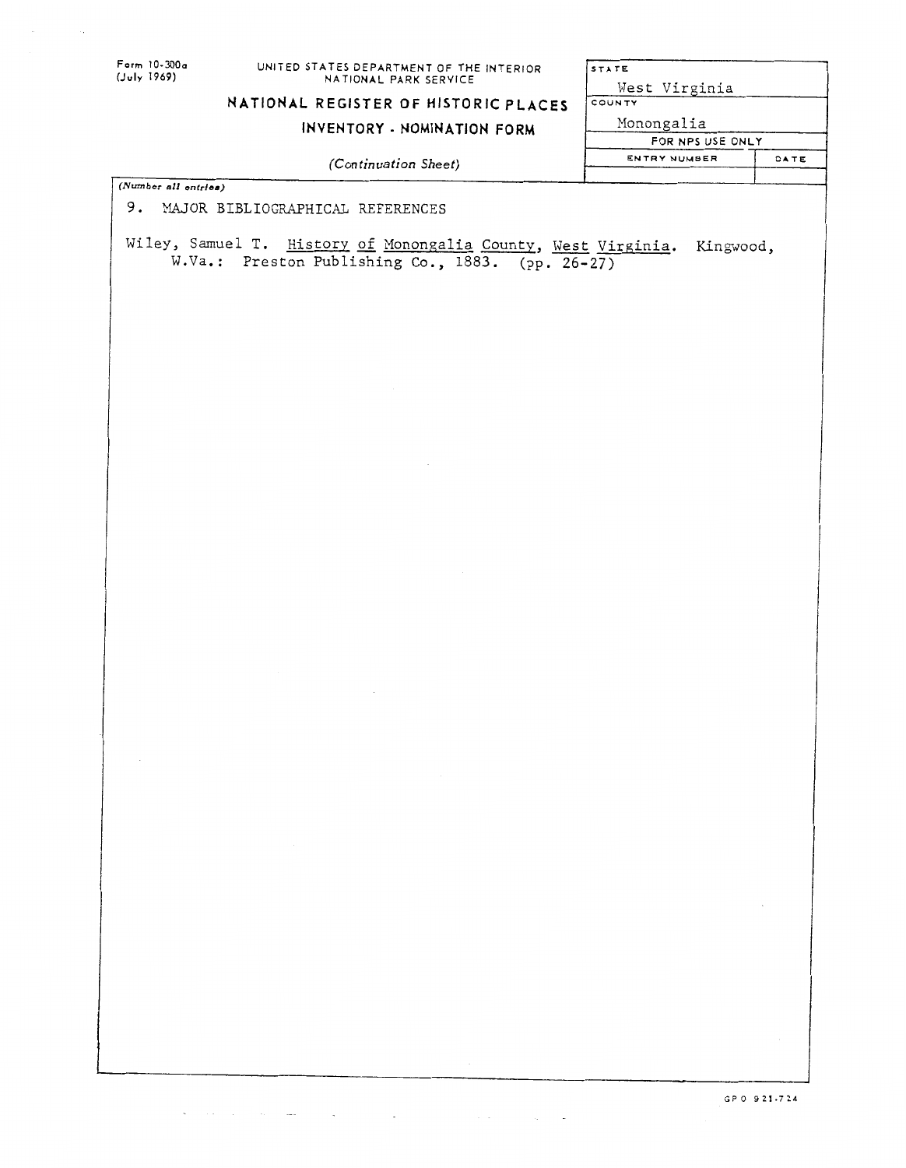## **Form 10-X)Oa UNITED STATES DEPARTMENT OF THE INTERIOR (July 1969) NATIONAL PARK SERVICE**

## **NATIONAL REGISTER OF HISTORIC PLACES**

**INVENTORY** - **NOMINATION FORM** 

STATE West Virginia COUNTY **Monongalia FOR NPS USE ONLY** 

ENTRY NUMBER DATE

*(Con tinuation* **Sheet)** 

*(Number* **all antrlee)** 

where the contribution of the contribution of the contribution of the contribution of  $\mathcal{A}$ 

9. MAJOR BIBLIOGRAPHICAL REFERENCES

**Wiley, Samuel T. History** of **Monongalia County, West Virpinia.**  W.Va.: Preston Publishing Co., 1883. (pp. 26-27)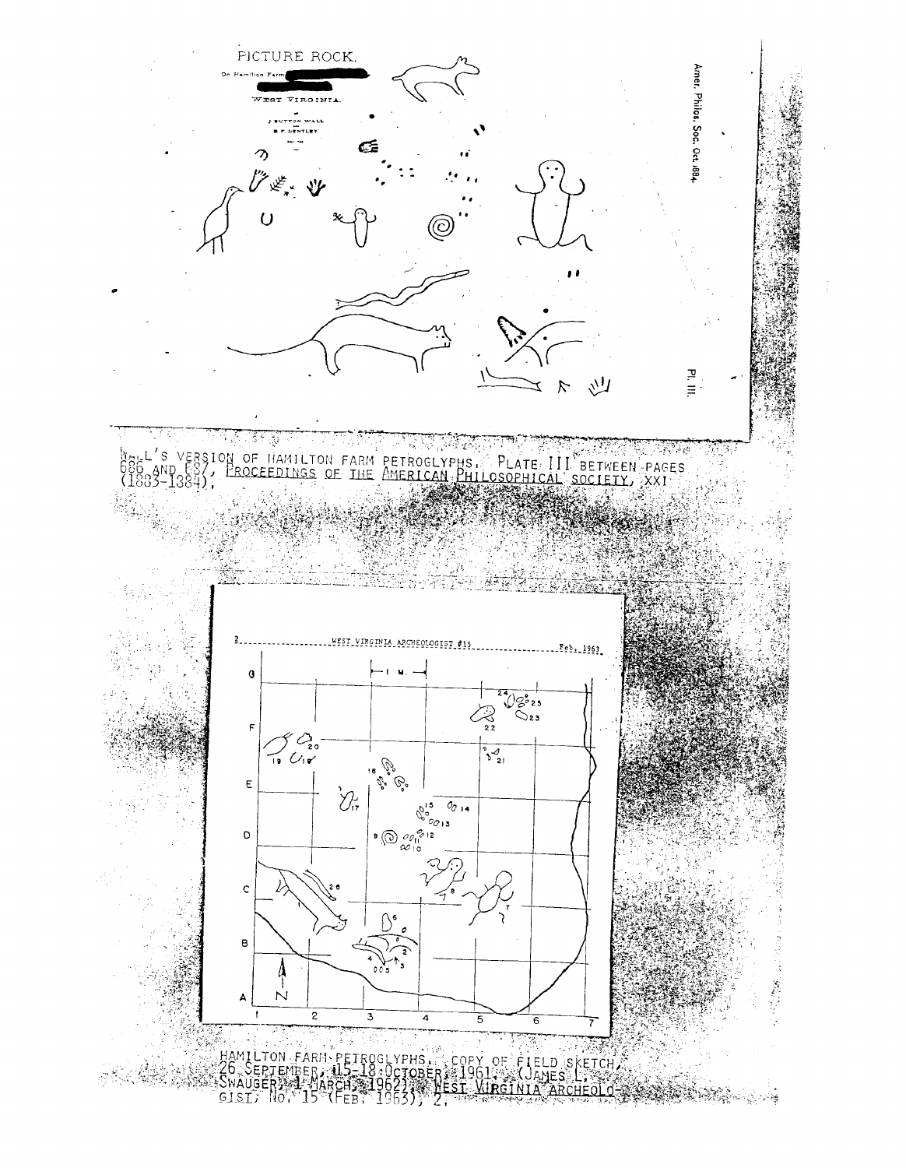